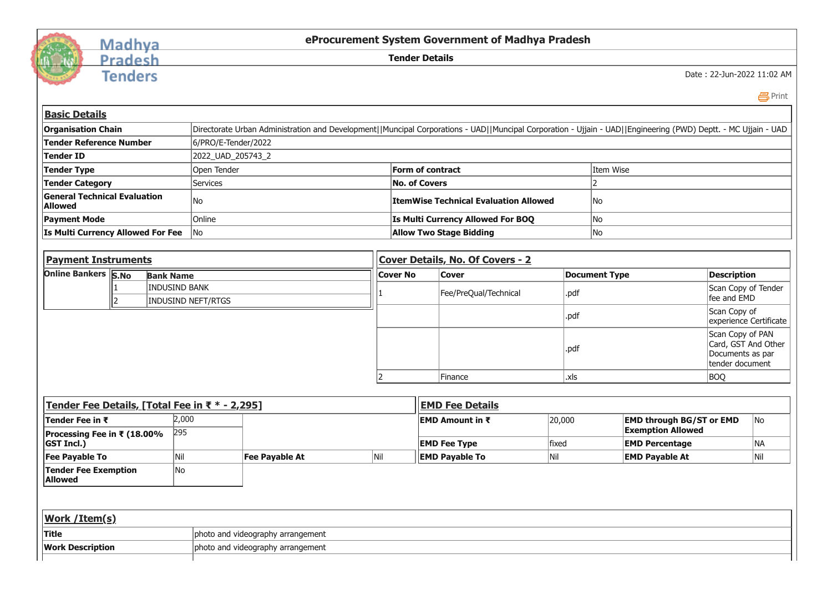

## Madhya Pradesh

**Tenders** 

**eProcurement System Government of Madhya Pradesh**

**Tender Details**

Date : 22-Jun-2022 11:02 AM

| __<br>__<br>× |  |
|---------------|--|
|---------------|--|

| <b>Basic Details</b>                                  |                                                                                                                                                                |                                              |           |  |  |  |  |
|-------------------------------------------------------|----------------------------------------------------------------------------------------------------------------------------------------------------------------|----------------------------------------------|-----------|--|--|--|--|
| <b>Organisation Chain</b>                             | Directorate Urban Administration and Development  Muncipal Corporations - UAD  Muncipal Corporation - Ujjain - UAD  Engineering (PWD) Deptt. - MC Ujjain - UAD |                                              |           |  |  |  |  |
| Tender Reference Number                               | 6/PRO/E-Tender/2022                                                                                                                                            |                                              |           |  |  |  |  |
| <b>Tender ID</b>                                      | 2022_UAD_205743_2                                                                                                                                              |                                              |           |  |  |  |  |
| <b>Tender Type</b>                                    | Open Tender                                                                                                                                                    | <b>Form of contract</b>                      | Item Wise |  |  |  |  |
| <b>Tender Category</b>                                | Services                                                                                                                                                       | No. of Covers                                |           |  |  |  |  |
| <b>General Technical Evaluation</b><br><b>Allowed</b> | No                                                                                                                                                             | <b>ItemWise Technical Evaluation Allowed</b> | No        |  |  |  |  |
| <b>Payment Mode</b>                                   | Online                                                                                                                                                         | <b>Is Multi Currency Allowed For BOO</b>     | No        |  |  |  |  |
| <b>Is Multi Currency Allowed For Fee</b>              | lNo.                                                                                                                                                           | <b>Allow Two Stage Bidding</b>               | No        |  |  |  |  |
|                                                       |                                                                                                                                                                |                                              |           |  |  |  |  |
| <b>Payment Instruments</b>                            |                                                                                                                                                                | <b>Cover Details, No. Of Covers - 2</b>      |           |  |  |  |  |
|                                                       |                                                                                                                                                                |                                              |           |  |  |  |  |

| <u>Fayliciil Ilisli uliiciils</u> |  |                                            | <u> Jeuvel Details, No. Of Cuvers - Z</u> |                       |                      |                                                                                 |  |
|-----------------------------------|--|--------------------------------------------|-------------------------------------------|-----------------------|----------------------|---------------------------------------------------------------------------------|--|
| <b>Online Bankers S.No</b>        |  | <b>Bank Name</b>                           | <b>Cover No</b>                           | <b>Cover</b>          | <b>Document Type</b> | Description                                                                     |  |
|                                   |  | <b>INDUSIND BANK</b><br>INDUSIND NEFT/RTGS |                                           | Fee/PreQual/Technical | .pdf                 | Scan Copy of Tender<br>fee and EMD                                              |  |
|                                   |  |                                            |                                           |                       | pdf.,                | Scan Copy of<br>experience Certificate                                          |  |
|                                   |  |                                            |                                           |                       | ∣.pdf                | Scan Copy of PAN<br>Card, GST And Other<br>Documents as par<br>Itender document |  |
|                                   |  |                                            |                                           | Finance               | l.xls                | BOQ                                                                             |  |

| Tender Fee Details, [Total Fee in ₹ * - 2,295] |       |                                   | <b>EMD Fee Details</b> |                         |        |                                 |           |
|------------------------------------------------|-------|-----------------------------------|------------------------|-------------------------|--------|---------------------------------|-----------|
| Tender Fee in ₹                                | 2,000 |                                   |                        | <b>IEMD Amount in ₹</b> | 20,000 | <b>EMD through BG/ST or EMD</b> | <b>No</b> |
| Processing Fee in ₹ (18.00%                    | 295   |                                   |                        |                         |        | <b>Exemption Allowed</b>        |           |
| <b>GST Incl.)</b>                              |       |                                   |                        | <b>EMD Fee Type</b>     | fixed  | <b>EMD Percentage</b>           | NA        |
| <b>Fee Payable To</b>                          | Nil   | Fee Payable At                    | Nil                    | <b>EMD Payable To</b>   | Nil    | <b>EMD Payable At</b>           | Nil       |
| <b>Tender Fee Exemption</b><br><b>Allowed</b>  | lNo   |                                   |                        |                         |        |                                 |           |
|                                                |       |                                   |                        |                         |        |                                 |           |
| <b>Work / Item(s)</b>                          |       |                                   |                        |                         |        |                                 |           |
| <b>Title</b>                                   |       | photo and videography arrangement |                        |                         |        |                                 |           |
| <b>Work Description</b>                        |       | photo and videography arrangement |                        |                         |        |                                 |           |